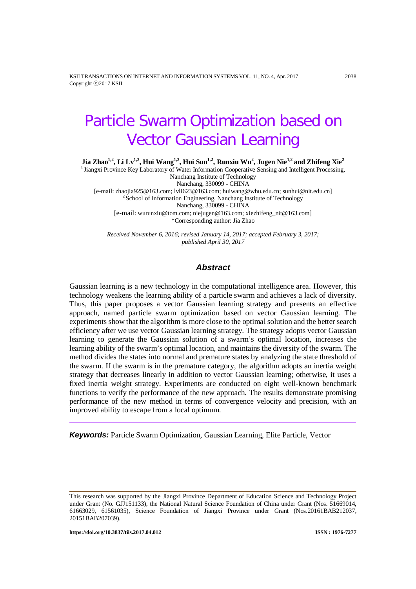KSII TRANSACTIONS ON INTERNET AND INFORMATION SYSTEMS VOL. 11, NO. 4, Apr. 2017 2038 Copyright ⓒ2017 KSII

# Particle Swarm Optimization based on Vector Gaussian Learning

**Jia Zhao1,2, Li Lv1,2, Hui Wang1,2, Hui Sun1,2, Runxiu Wu2 , Jugen Nie1,2 and Zhifeng Xie<sup>2</sup>**

<sup>1</sup> Jiangxi Province Key Laboratory of Water Information Cooperative Sensing and Intelligent Processing, Nanchang Institute of Technology Nanchang, 330099 - CHINA [e-mail: zhaojia925@163.com; lvli623@163.com; huiwang@whu.edu.cn; sunhui@nit.edu.cn] <sup>2</sup> School of Information Engineering, Nanchang Institute of Technology Nanchang, 330099 - CHINA

[e-mail: wurunxiu@tom.com; niejugen@163.com; xiezhifeng\_nit@163.com] \*Corresponding author: Jia Zhao

*Received November 6, 2016; revised January 14, 2017; accepted February 3, 2017; published April 30, 2017*

# *Abstract*

Gaussian learning is a new technology in the computational intelligence area. However, this technology weakens the learning ability of a particle swarm and achieves a lack of diversity. Thus, this paper proposes a vector Gaussian learning strategy and presents an effective approach, named particle swarm optimization based on vector Gaussian learning. The experiments show that the algorithm is more close to the optimal solution and the better search efficiency after we use vector Gaussian learning strategy. The strategy adopts vector Gaussian learning to generate the Gaussian solution of a swarm's optimal location, increases the learning ability of the swarm's optimal location, and maintains the diversity of the swarm. The method divides the states into normal and premature states by analyzing the state threshold of the swarm. If the swarm is in the premature category, the algorithm adopts an inertia weight strategy that decreases linearly in addition to vector Gaussian learning; otherwise, it uses a fixed inertia weight strategy. Experiments are conducted on eight well-known benchmark functions to verify the performance of the new approach. The results demonstrate promising performance of the new method in terms of convergence velocity and precision, with an improved ability to escape from a local optimum.

*Keywords:* Particle Swarm Optimization, Gaussian Learning, Elite Particle, Vector

This research was supported by the Jiangxi Province Department of Education Science and Technology Project under Grant (No. GJJ151133), the National Natural Science Foundation of China under Grant (Nos. 51669014, 61663029, 61561035), Science Foundation of Jiangxi Province under Grant (Nos.20161BAB212037, 20151BAB207039).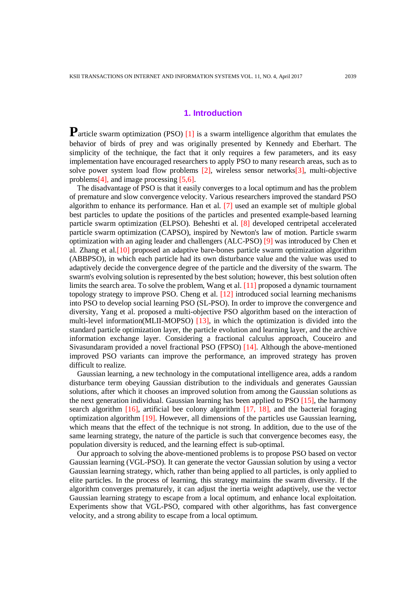# **1. Introduction**

Particle swarm optimization (PSO) [1] is a swarm intelligence algorithm that emulates the behavior of birds of prey and was originally presented by Kennedy and Eberhart. The simplicity of the technique, the fact that it only requires a few parameters, and its easy implementation have encouraged researchers to apply PSO to many research areas, such as to solve power system load flow problems [2], wireless sensor networks[3], multi-objective problems[4], and image processing [5,6].

The disadvantage of PSO is that it easily converges to a local optimum and has the problem of premature and slow convergence velocity. Various researchers improved the standard PSO algorithm to enhance its performance. Han et al. [7] used an example set of multiple global best particles to update the positions of the particles and presented example-based learning particle swarm optimization (ELPSO). Beheshti et al. [8] developed centripetal accelerated particle swarm optimization (CAPSO), inspired by Newton's law of motion. Particle swarm optimization with an aging leader and challengers (ALC-PSO) [9] was introduced by Chen et al. Zhang et al.[10] proposed an adaptive bare-bones particle swarm optimization algorithm (ABBPSO), in which each particle had its own disturbance value and the value was used to adaptively decide the convergence degree of the particle and the diversity of the swarm. The swarm's evolving solution is represented by the best solution; however, this best solution often limits the search area. To solve the problem, Wang et al. [11] proposed a dynamic tournament topology strategy to improve PSO. Cheng et al. [12] introduced social learning mechanisms into PSO to develop social learning PSO (SL-PSO). In order to improve the convergence and diversity, Yang et al. proposed a multi-objective PSO algorithm based on the interaction of multi-level information(MLII-MOPSO) [13], in which the optimization is divided into the standard particle optimization layer, the particle evolution and learning layer, and the archive information exchange layer. Considering a fractional calculus approach, Couceiro and Sivasundaram provided a novel fractional PSO (FPSO) [14]. Although the above-mentioned improved PSO variants can improve the performance, an improved strategy has proven difficult to realize.

Gaussian learning, a new technology in the computational intelligence area, adds a random disturbance term obeying Gaussian distribution to the individuals and generates Gaussian solutions, after which it chooses an improved solution from among the Gaussian solutions as the next generation individual. Gaussian learning has been applied to PSO [15], the harmony search algorithm [16], artificial bee colony algorithm [17, 18], and the bacterial foraging optimization algorithm [19]. However, all dimensions of the particles use Gaussian learning, which means that the effect of the technique is not strong. In addition, due to the use of the same learning strategy, the nature of the particle is such that convergence becomes easy, the population diversity is reduced, and the learning effect is sub-optimal.

Our approach to solving the above-mentioned problems is to propose PSO based on vector Gaussian learning (VGL-PSO). It can generate the vector Gaussian solution by using a vector Gaussian learning strategy, which, rather than being applied to all particles, is only applied to elite particles. In the process of learning, this strategy maintains the swarm diversity. If the algorithm converges prematurely, it can adjust the inertia weight adaptively, use the vector Gaussian learning strategy to escape from a local optimum, and enhance local exploitation. Experiments show that VGL-PSO, compared with other algorithms, has fast convergence velocity, and a strong ability to escape from a local optimum.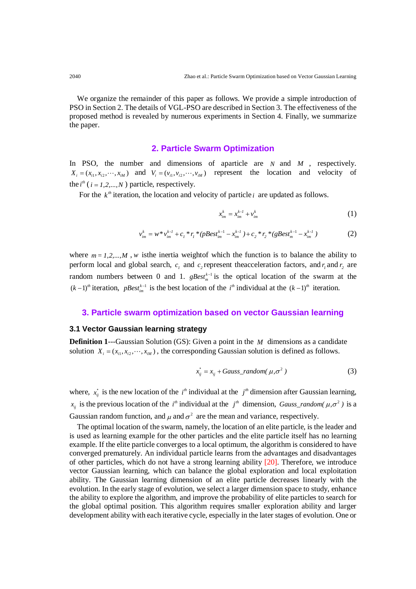We organize the remainder of this paper as follows. We provide a simple introduction of PSO in Section 2. The details of VGL-PSO are described in Section 3. The effectiveness of the proposed method is revealed by numerous experiments in Section 4. Finally, we summarize the paper.

# **2. Particle Swarm Optimization**

In PSO, the number and dimensions of aparticle are *N* and *M* , respectively.  $X_i = (x_{i1}, x_{i2}, \dots, x_{iM})$  and  $V_i = (v_{i1}, v_{i2}, \dots, v_{iM})$  represent the location and velocity of the  $i^{th}$  ( $i = 1, 2, ..., N$ ) particle, respectively.

For the  $k^{\text{th}}$  iteration, the location and velocity of particle *i* are updated as follows.

$$
x_{im}^k = x_{im}^{k-l} + v_{im}^k
$$
 (1)

$$
v_{im}^k = w^* v_{im}^{k-l} + c_l^* r_l^* (pBest_{im}^{k-l} - x_{im}^{k-l}) + c_2^* r_l^* (gBest_m^{k-l} - x_{im}^{k-l})
$$
 (2)

where  $m = 1, 2, ..., M$ , *w* is the inertia weight of which the function is to balance the ability to perform local and global search,  $c<sub>i</sub>$  and  $c<sub>i</sub>$  represent theacceleration factors, and  $r<sub>i</sub>$  and  $r<sub>i</sub>$  are random numbers between 0 and 1.  $g$ Best<sup> $k-1$ </sup> is the optical location of the swarm at the  $(k-1)^{th}$  iteration, *pBest*<sup>k-1</sup> is the best location of the *i*<sup>th</sup> individual at the  $(k-1)^{th}$  iteration.

# **3. Particle swarm optimization based on vector Gaussian learning**

#### **3.1 Vector Gaussian learning strategy**

**Definition 1---Gaussian Solution (GS): Given a point in the** *M* **dimensions as a candidate** solution  $X_i = (x_{i1}, x_{i2}, \dots, x_{iM})$ , the corresponding Gaussian solution is defined as follows.

$$
x_{ij}^* = x_{ij} + Gauss\_random(\mu, \sigma^2)
$$
 (3)

where,  $\dot{x}_i$  is the new location of the *i*<sup>th</sup> individual at the *j*<sup>th</sup> dimension after Gaussian learning, *x<sub>ij</sub>* is the previous location of the *i*<sup>th</sup> individual at the *j*<sup>th</sup> dimension, *Gauss\_random(*  $\mu$ *,*  $\sigma^2$ *)* is a Gaussian random function, and  $\mu$  and  $\sigma^2$  are the mean and variance, respectively.

The optimal location of the swarm, namely, the location of an elite particle, is the leader and is used as learning example for the other particles and the elite particle itself has no learning example. If the elite particle converges to a local optimum, the algorithm is considered to have converged prematurely. An individual particle learns from the advantages and disadvantages of other particles, which do not have a strong learning ability [20]. Therefore, we introduce vector Gaussian learning, which can balance the global exploration and local exploitation ability. The Gaussian learning dimension of an elite particle decreases linearly with the evolution. In the early stage of evolution, we select a larger dimension space to study, enhance the ability to explore the algorithm, and improve the probability of elite particles to search for the global optimal position. This algorithm requires smaller exploration ability and larger development ability with each iterative cycle, especially in the later stages of evolution. One or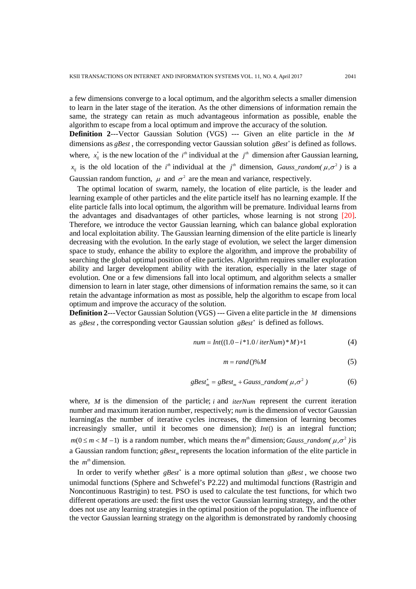a few dimensions converge to a local optimum, and the algorithm selects a smaller dimension to learn in the later stage of the iteration. As the other dimensions of information remain the same, the strategy can retain as much advantageous information as possible, enable the algorithm to escape from a local optimum and improve the accuracy of the solution.

**Definition 2**---Vector Gaussian Solution (VGS) --- Given an elite particle in the *M* dimensions as *gBest* , the corresponding vector Gaussian solution *gBest*<sup>∗</sup> is defined as follows. where,  $\dot{x}_{ij}$  is the new location of the *i*<sup>th</sup> individual at the *j*<sup>th</sup> dimension after Gaussian learning, *x<sub>ii</sub>* is the old location of the *i*<sup>th</sup> individual at the *j*<sup>th</sup> dimension, *Gauss\_random(* $\mu$ , $\sigma^2$ ) is a Gaussian random function,  $\mu$  and  $\sigma^2$  are the mean and variance, respectively.

The optimal location of swarm, namely, the location of elite particle, is the leader and learning example of other particles and the elite particle itself has no learning example. If the elite particle falls into local optimum, the algorithm will be premature. Individual learns from the advantages and disadvantages of other particles, whose learning is not strong [20]. Therefore, we introduce the vector Gaussian learning, which can balance global exploration and local exploitation ability. The Gaussian learning dimension of the elite particle is linearly decreasing with the evolution. In the early stage of evolution, we select the larger dimension space to study, enhance the ability to explore the algorithm, and improve the probability of searching the global optimal position of elite particles. Algorithm requires smaller exploration ability and larger development ability with the iteration, especially in the later stage of evolution. One or a few dimensions fall into local optimum, and algorithm selects a smaller dimension to learn in later stage, other dimensions of information remains the same, so it can retain the advantage information as most as possible, help the algorithm to escape from local optimum and improve the accuracy of the solution.

**Definition 2**---Vector Gaussian Solution (VGS) --- Given a elite particle in the *M* dimensions as *gBest* , the corresponding vector Gaussian solution *gBest*<sup>∗</sup> is defined as follows.

$$
num = Int((1.0 - i * 1.0 / iterNum) * M) + 1
$$
\n(4)

$$
m = rand() \% M \tag{5}
$$

$$
gBestm* = gBestm + Gauss\_random(\mu, \sigma2)
$$
 (6)

where, *M* is the dimension of the particle; *i* and *iterNum* represent the current iteration number and maximum iteration number, respectively; *num* is the dimension of vector Gaussian learning(as the number of iterative cycles increases, the dimension of learning becomes increasingly smaller, until it becomes one dimension);  $Int()$  is an integral function;  $m(0 \le m < M - 1)$  is a random number, which means the  $m<sup>th</sup>$  dimension; *Gauss random*(  $\mu, \sigma^2$ ) is a Gaussian random function; *gBest* represents the location information of the elite particle in the  $m^{\text{th}}$  dimension.

In order to verify whether *gBest*<sup>∗</sup> is a more optimal solution than *gBest* , we choose two unimodal functions (Sphere and Schwefel's P2.22) and multimodal functions (Rastrigin and Noncontinuous Rastrigin) to test. PSO is used to calculate the test functions, for which two different operations are used: the first uses the vector Gaussian learning strategy, and the other does not use any learning strategies in the optimal position of the population. The influence of the vector Gaussian learning strategy on the algorithm is demonstrated by randomly choosing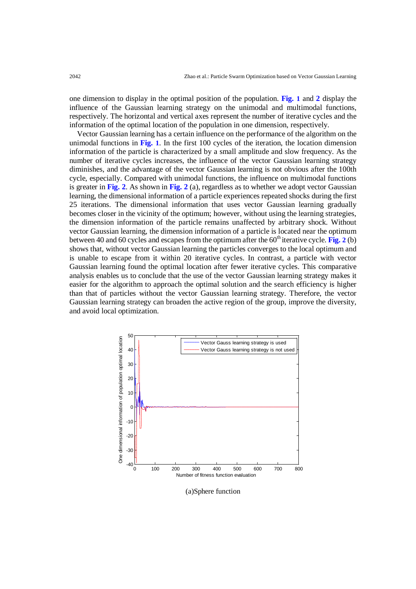one dimension to display in the optimal position of the population. **Fig. 1** and **2** display the influence of the Gaussian learning strategy on the unimodal and multimodal functions, respectively. The horizontal and vertical axes represent the number of iterative cycles and the information of the optimal location of the population in one dimension, respectively.

Vector Gaussian learning has a certain influence on the performance of the algorithm on the unimodal functions in **Fig. 1**. In the first 100 cycles of the iteration, the location dimension information of the particle is characterized by a small amplitude and slow frequency. As the number of iterative cycles increases, the influence of the vector Gaussian learning strategy diminishes, and the advantage of the vector Gaussian learning is not obvious after the 100th cycle, especially. Compared with unimodal functions, the influence on multimodal functions is greater in **Fig. 2**. As shown in **Fig. 2** (a), regardless as to whether we adopt vector Gaussian learning, the dimensional information of a particle experiences repeated shocks during the first 25 iterations. The dimensional information that uses vector Gaussian learning gradually becomes closer in the vicinity of the optimum; however, without using the learning strategies, the dimension information of the particle remains unaffected by arbitrary shock. Without vector Gaussian learning, the dimension information of a particle is located near the optimum between 40 and 60 cycles and escapes from the optimum after the  $60<sup>th</sup>$  iterative cycle. **Fig. 2** (b) shows that, without vector Gaussian learning the particles converges to the local optimum and is unable to escape from it within 20 iterative cycles. In contrast, a particle with vector Gaussian learning found the optimal location after fewer iterative cycles. This comparative analysis enables us to conclude that the use of the vector Gaussian learning strategy makes it easier for the algorithm to approach the optimal solution and the search efficiency is higher than that of particles without the vector Gaussian learning strategy. Therefore, the vector Gaussian learning strategy can broaden the active region of the group, improve the diversity, and avoid local optimization.



(a)Sphere function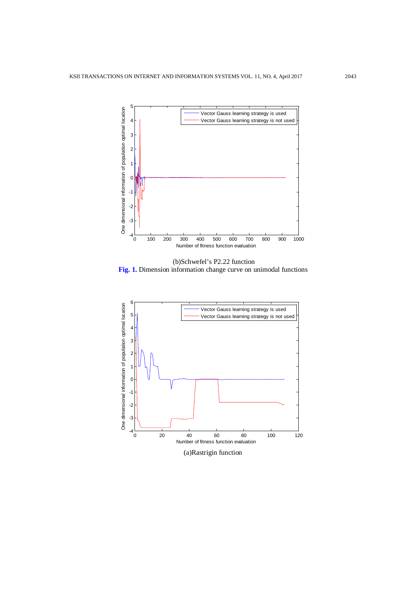

(b)Schwefel's P2.22 function **Fig. 1.** Dimension information change curve on unimodal functions



(a)Rastrigin function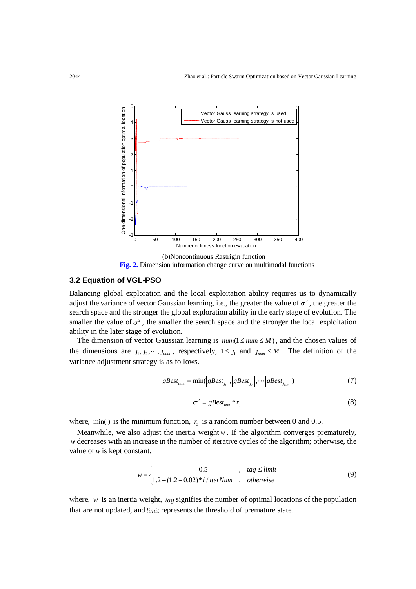

(b)Noncontinuous Rastrigin function **Fig. 2.** Dimension information change curve on multimodal functions

# **3.2 Equation of VGL-PSO**

Balancing global exploration and the local exploitation ability requires us to dynamically adjust the variance of vector Gaussian learning, i.e., the greater the value of  $\sigma^2$ , the greater the search space and the stronger the global exploration ability in the early stage of evolution. The smaller the value of  $\sigma^2$ , the smaller the search space and the stronger the local exploitation ability in the later stage of evolution.

The dimension of vector Gaussian learning is  $num(1 \le num \le M)$ , and the chosen values of the dimensions are  $j_1, j_2, \dots, j_{num}$ , respectively,  $1 \le j_1$  and  $j_{num} \le M$ . The definition of the variance adjustment strategy is as follows.

$$
gBest_{\min} = \min(|gBest_{j_1}|, |gBest_{j_2}|, \cdots |gBest_{j_{\max}}|) \tag{7}
$$

$$
\sigma^2 = gBest_{\min} * r_3 \tag{8}
$$

where, min() is the minimum function,  $r_3$  is a random number between 0 and 0.5.

Meanwhile, we also adjust the inertia weight *w* . If the algorithm converges prematurely, *w* decreases with an increase in the number of iterative cycles of the algorithm; otherwise, the value of *w* is kept constant.

$$
w = \begin{cases} 0.5 & , tag \le limit \\ 1.2 - (1.2 - 0.02) * i / iterNum & , otherwise \end{cases}
$$
(9)

where, *w* is an inertia weight, *tag* signifies the number of optimal locations of the population that are not updated, and *limit* represents the threshold of premature state.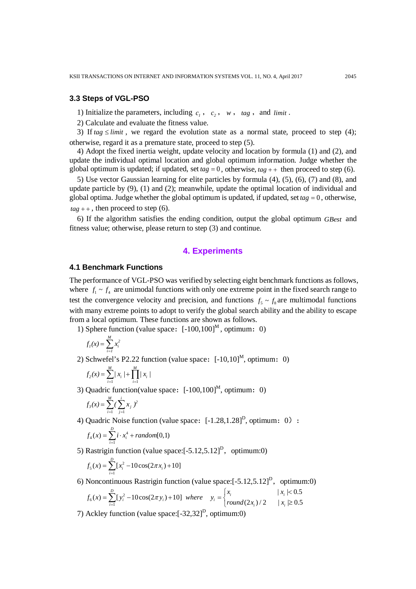# **3.3 Steps of VGL-PSO**

1) Initialize the parameters, including  $c_1$ ,  $c_2$ ,  $w$ ,  $tag$ , and *limit*.

2) Calculate and evaluate the fitness value.

3) If  $tag \leq limit$ , we regard the evolution state as a normal state, proceed to step (4); otherwise, regard it as a premature state, proceed to step (5).

4) Adopt the fixed inertia weight, update velocity and location by formula (1) and (2), and update the individual optimal location and global optimum information. Judge whether the global optimum is updated; if updated, set  $tag = 0$ , otherwise,  $tag + +$  then proceed to step (6).

5) Use vector Gaussian learning for elite particles by formula (4), (5), (6), (7) and (8), and update particle by (9), (1) and (2); meanwhile, update the optimal location of individual and global optima. Judge whether the global optimum is updated, if updated, set  $tag = 0$ , otherwise,  $tag + +$ , then proceed to step (6).

6) If the algorithm satisfies the ending condition, output the global optimum *GBest* and fitness value; otherwise, please return to step (3) and continue.

# **4. Experiments**

## **4.1 Benchmark Functions**

The performance of VGL-PSO was verified by selecting eight benchmark functions as follows, where  $f_1 \sim f_4$  are unimodal functions with only one extreme point in the fixed search range to test the convergence velocity and precision, and functions  $f_5 \sim f_8$  are multimodal functions with many extreme points to adopt to verify the global search ability and the ability to escape from a local optimum. These functions are shown as follows.

1) Sphere function (value space:  $[-100,100]^M$ , optimum: 0)

$$
f_I(x) = \sum_{i=1}^M x_i^2
$$

2) Schwefel's P2.22 function (value space:  $[-10,10]^M$ , optimum: 0)

$$
f_2(x) = \sum_{i=1}^{M} / x_i / + \prod_{i=1}^{M} / x_i /
$$

3) Quadric function(value space:  $[-100,100]^M$ , optimum: 0)

$$
f_3(x) = \sum_{i=1}^{M} \left( \sum_{j=1}^{i} x_j \right)^2
$$

4) Quadric Noise function (value space:  $[-1.28,1.28]$ <sup>D</sup>, optimum: 0):

$$
f_4(x) = \sum_{i=1}^{D} i \cdot x_i^4 + random[0,1)
$$

5) Rastrigin function (value space: $[-5.12,5.12]^D$ , optimum:0)

$$
f_5(x) = \sum_{i=1}^{D} [x_i^2 - 10\cos(2\pi x_i) + 10]
$$

6) Noncontinuous Rastrigin function (value space: $[-5.12,5.12]^D$ , optimum:0)

$$
f_6(x) = \sum_{i=1}^{D} [y_i^2 - 10\cos(2\pi y_i) + 10] \quad where \quad y_i = \begin{cases} x_i & |x_i| < 0.5 \\ \text{round}(2x_i) / 2 & |x_i| \ge 0.5 \end{cases}
$$

7) Ackley function (value space: $[-32,32]^D$ , optimum:0)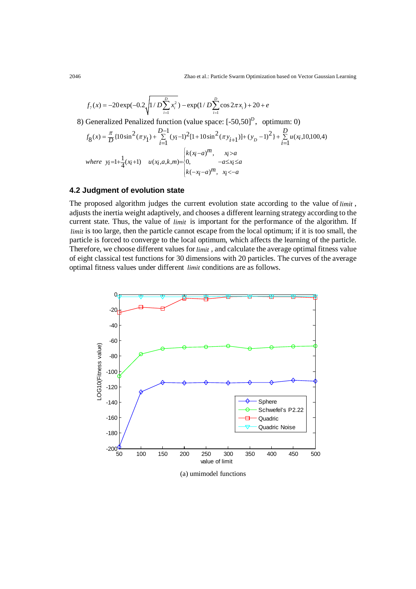$$
f_7(x) = -20 \exp(-0.2 \sqrt{1/D \sum_{i=1}^{D} x_i^2}) - \exp(1/D \sum_{i=1}^{D} \cos 2\pi x_i) + 20 + e
$$

8) Generalized Penalized function (value space:  $[-50,50]^D$ , optimum: 0)

$$
f_8(x) = \frac{\pi}{D} \{ 10 \sin^2(\pi y_1) + \sum_{i=1}^{D-1} (y_i - 1)^2 [1 + 10 \sin^2(\pi y_{i+1})] + (y_D - 1)^2 \} + \sum_{i=1}^{D} u(x_i, 10, 100, 4)
$$
  
where  $y_i = 1 + \frac{1}{4}(x_i + 1)$   $u(x_i, a, k, m) = \begin{cases} k(x_i - a)^m, & x_i > a \\ 0, & -a \le x_i \le a \\ k(-x_i - a)^m, & x_i < -a \end{cases}$ 

## **4.2 Judgment of evolution state**

The proposed algorithm judges the current evolution state according to the value of*limit* , adjusts the inertia weight adaptively, and chooses a different learning strategy according to the current state. Thus, the value of *limit* is important for the performance of the algorithm. If *limit* is too large, then the particle cannot escape from the local optimum; if it is too small, the particle is forced to converge to the local optimum, which affects the learning of the particle. Therefore, we choose different values for*limit* , and calculate the average optimal fitness value of eight classical test functions for 30 dimensions with 20 particles. The curves of the average optimal fitness values under different *limit* conditions are as follows.

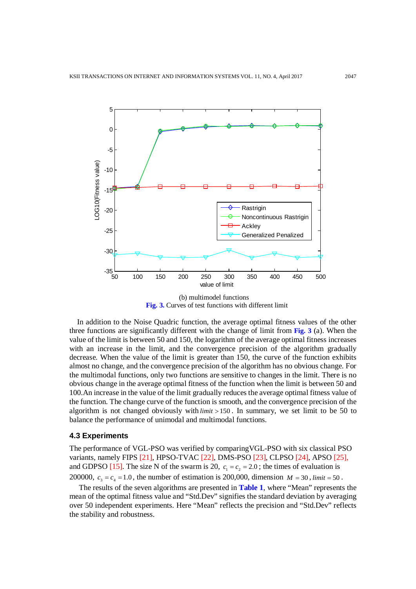

(b) multimodel functions **Fig. 3.** Curves of test functions with different limit

In addition to the Noise Quadric function, the average optimal fitness values of the other three functions are significantly different with the change of limit from **Fig. 3** (a). When the value of the limit is between 50 and 150, the logarithm of the average optimal fitness increases with an increase in the limit, and the convergence precision of the algorithm gradually decrease. When the value of the limit is greater than 150, the curve of the function exhibits almost no change, and the convergence precision of the algorithm has no obvious change. For the multimodal functions, only two functions are sensitive to changes in the limit. There is no obvious change in the average optimal fitness of the function when the limit is between 50 and 100.An increase in the value of the limit gradually reduces the average optimal fitness value of the function. The change curve of the function is smooth, and the convergence precision of the algorithm is not changed obviously with *limit* > 150 . In summary, we set limit to be 50 to balance the performance of unimodal and multimodal functions.

#### **4.3 Experiments**

The performance of VGL-PSO was verified by comparingVGL-PSO with six classical PSO variants, namely FIPS [21], HPSO-TVAC [22], DMS-PSO [23], CLPSO [24], APSO [25], and GDPSO [15]. The size N of the swarm is 20,  $c_1 = c_2 = 2.0$ ; the times of evaluation is 200000,  $c_3 = c_4 = 1.0$ , the number of estimation is 200,000, dimension  $M = 30$ , *limit* = 50.

The results of the seven algorithms are presented in **Table 1**, where "Mean" represents the mean of the optimal fitness value and "Std.Dev" signifies the standard deviation by averaging over 50 independent experiments. Here "Mean" reflects the precision and "Std.Dev" reflects the stability and robustness.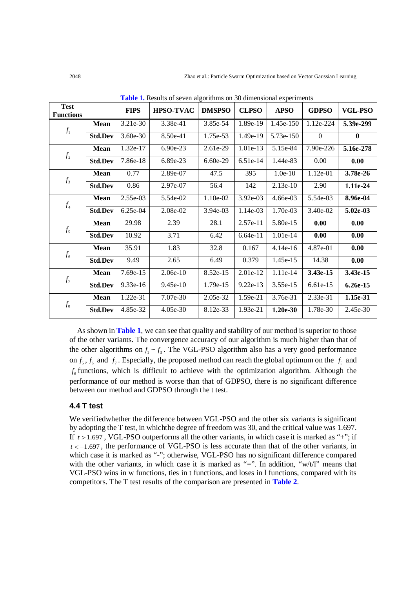| <b>Test</b><br><b>Functions</b> |                | <b>FIPS</b>           | <b>HPSO-TVAC</b> | <b>DMSPSO</b> | <b>CLPSO</b> | <b>APSO</b> | <b>GDPSO</b>     | <b>VGL-PSO</b> |
|---------------------------------|----------------|-----------------------|------------------|---------------|--------------|-------------|------------------|----------------|
| $f_{\rm 1}$                     | Mean           | $3.21e-30$            | 3.38e-41         | 3.85e-54      | 1.89e-19     | 1.45e-150   | 1.12e-224        | 5.39e-299      |
|                                 | <b>Std.Dev</b> | $3.60e-30$            | 8.50e-41         | 1.75e-53      | 1.49e-19     | 5.73e-150   | $\boldsymbol{0}$ | $\mathbf{0}$   |
| f <sub>2</sub>                  | Mean           | $1.32e-17$            | 6.90e-23         | 2.61e-29      | 1.01e-13     | 5.15e-84    | 7.90e-226        | 5.16e-278      |
|                                 | <b>Std.Dev</b> | 7.86e-18              | 6.89e-23         | $6.60e-29$    | $6.51e-14$   | 1.44e-83    | 0.00             | 0.00           |
| $f_3$                           | Mean           | 0.77                  | 2.89e-07         | 47.5          | 395          | $1.0e-10$   | 1.12e-01         | 3.78e-26       |
|                                 | <b>Std.Dev</b> | 0.86                  | 2.97e-07         | 56.4          | 142          | $2.13e-10$  | 2.90             | 1.11e-24       |
| $f_4$                           | Mean           | $2.55e-03$            | 5.54e-02         | 1.10e-02      | $3.92e-03$   | $4.66e-03$  | 5.54e-03         | 8.96e-04       |
|                                 | <b>Std.Dev</b> | $\overline{6.25}e-04$ | 2.08e-02         | 3.94e-03      | 1.14e-03     | 1.70e-03    | 3.40e-02         | 5.02e-03       |
| $f_5$                           | Mean           | 29.98                 | 2.39             | 28.1          | 2.57e-11     | 5.80e-15    | 0.00             | 0.00           |
|                                 | <b>Std.Dev</b> | 10.92                 | 3.71             | 6.42          | $6.64e-11$   | 1.01e-14    | 0.00             | 0.00           |
| $f_{6}$                         | Mean           | 35.91                 | 1.83             | 32.8          | 0.167        | $4.14e-16$  | 4.87e-01         | 0.00           |
|                                 | <b>Std.Dev</b> | 9.49                  | 2.65             | 6.49          | 0.379        | 1.45e-15    | 14.38            | 0.00           |
| $f_7$                           | Mean           | $7.69e-15$            | $2.06e-10$       | 8.52e-15      | $2.01e-12$   | 1.11e-14    | 3.43e-15         | $3.43e-15$     |
|                                 | <b>Std.Dev</b> | $9.33e-16$            | 9.45e-10         | 1.79e-15      | $9.22e-13$   | $3.55e-15$  | $6.61e-15$       | 6.26e-15       |
| $f_8$                           | Mean           | 1.22e-31              | 7.07e-30         | 2.05e-32      | 1.59e-21     | 3.76e-31    | 2.33e-31         | 1.15e-31       |
|                                 | <b>Std.Dev</b> | 4.85e-32              | $4.05e-30$       | 8.12e-33      | 1.93e-21     | $1.20e-30$  | 1.78e-30         | 2.45e-30       |

**Table 1.** Results of seven algorithms on 30 dimensional experiments

As shown in **Table 1**, we can see that quality and stability of our method is superior to those of the other variants. The convergence accuracy of our algorithm is much higher than that of the other algorithms on  $f_1 \sim f_3$ . The VGL-PSO algorithm also has a very good performance on  $f_5$ ,  $f_6$  and  $f_7$ . Especially, the proposed method can reach the global optimum on the  $f_5$  and  $f<sub>6</sub>$  functions, which is difficult to achieve with the optimization algorithm. Although the performance of our method is worse than that of GDPSO, there is no significant difference between our method and GDPSO through the t test.

# **4.4 T test**

We verifiedwhether the difference between VGL-PSO and the other six variants is significant by adopting the T test, in whichthe degree of freedom was 30, and the critical value was 1.697. If  $t > 1.697$ , VGL-PSO outperforms all the other variants, in which case it is marked as "+"; if *t* < −1.697, the performance of VGL-PSO is less accurate than that of the other variants, in which case it is marked as "-"; otherwise, VGL-PSO has no significant difference compared with the other variants, in which case it is marked as "=". In addition, "w/t/l" means that VGL-PSO wins in w functions, ties in t functions, and loses in l functions, compared with its competitors. The T test results of the comparison are presented in **Table 2**.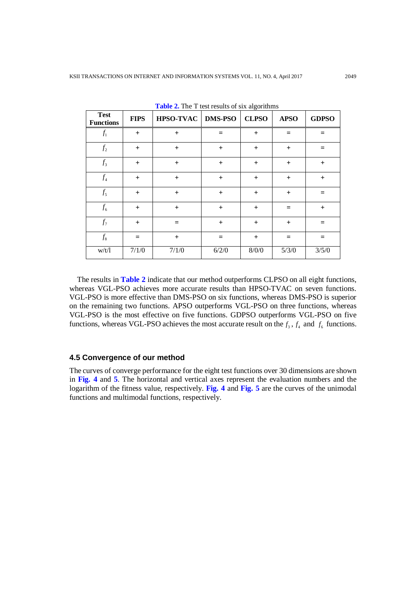| <b>Test</b><br><b>Functions</b> | <b>FIPS</b> | HPSO-TVAC   DMS-PSO |           | <b>CLPSO</b> | <b>APSO</b> | <b>GDPSO</b> |
|---------------------------------|-------------|---------------------|-----------|--------------|-------------|--------------|
| $f_{1}$                         | $+$         | $+$                 | =         | $\ddot{}$    | =           |              |
| $f_2$                           | $+$         | $+$                 | $\ddot{}$ | $\ddot{}$    | $\ddot{}$   | =            |
| $f_3$                           | $+$         | $+$                 | $\ddot{}$ | $\ddot{}$    | $+$         | $+$          |
| $f_{\scriptscriptstyle 4}$      | $+$         | $+$                 | $\ddot{}$ | $\ddot{}$    | $+$         | $+$          |
| $f_5$                           | $+$         | $+$                 | $\ddot{}$ | $+$          | $+$         | $=$          |
| $f_{\rm 6}$                     | $+$         | $+$                 | $+$       | $\ddot{}$    |             | $+$          |
| $f_7$                           | $+$         | $=$                 | $\ddot{}$ | $\ddot{}$    | $+$         | $=$          |
| $f_8$                           | $=$         | $+$                 | $=$       | $+$          | =           | $=$          |
| w/t/1                           | 7/1/0       | 7/1/0               | 6/2/0     | 8/0/0        | 5/3/0       | 3/5/0        |

**Table 2.** The T test results of six algorithms

The results in **Table 2** indicate that our method outperforms CLPSO on all eight functions, whereas VGL-PSO achieves more accurate results than HPSO-TVAC on seven functions. VGL-PSO is more effective than DMS-PSO on six functions, whereas DMS-PSO is superior on the remaining two functions. APSO outperforms VGL-PSO on three functions, whereas VGL-PSO is the most effective on five functions. GDPSO outperforms VGL-PSO on five functions, whereas VGL-PSO achieves the most accurate result on the  $f_3$ ,  $f_4$  and  $f_6$  functions.

# **4.5 Convergence of our method**

The curves of converge performance for the eight test functions over 30 dimensions are shown in **Fig. 4** and **5**. The horizontal and vertical axes represent the evaluation numbers and the logarithm of the fitness value, respectively. **Fig. 4** and **Fig. 5** are the curves of the unimodal functions and multimodal functions, respectively.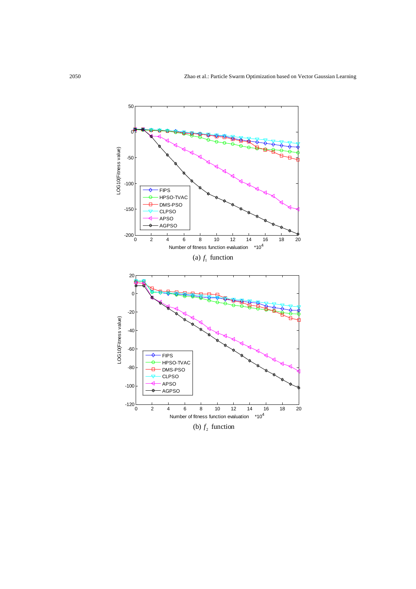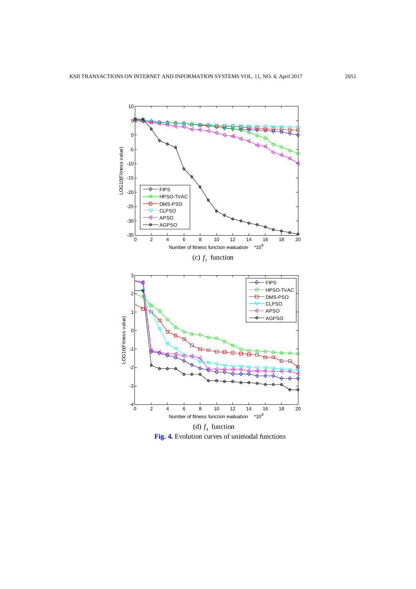

**Fig. 4.** Evolution curves of unimodal functions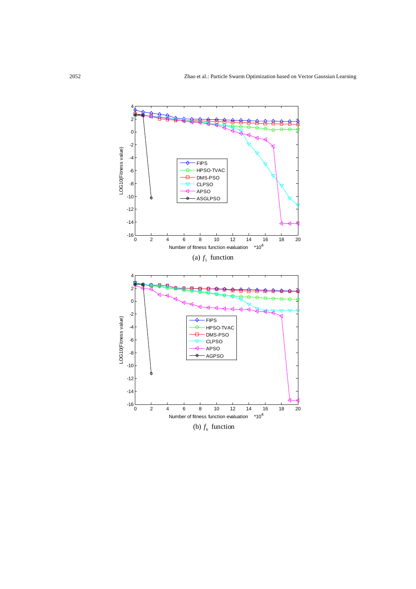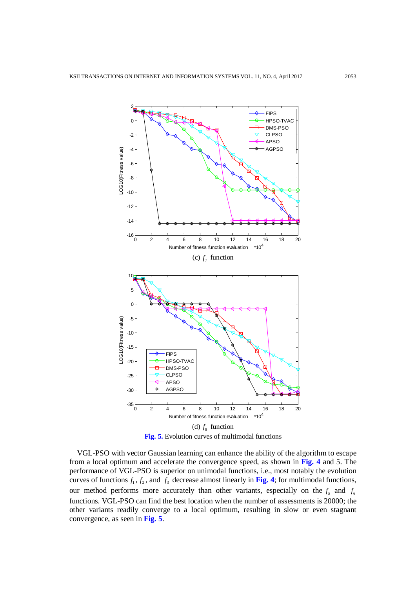

**Fig. 5.** Evolution curves of multimodal functions

VGL-PSO with vector Gaussian learning can enhance the ability of the algorithm to escape from a local optimum and accelerate the convergence speed, as shown in **Fig. 4** and 5. The performance of VGL-PSO is superior on unimodal functions, i.e., most notably the evolution curves of functions  $f_1, f_2$ , and  $f_3$  decrease almost linearly in Fig. 4; for multimodal functions, our method performs more accurately than other variants, especially on the  $f<sub>5</sub>$  and  $f<sub>6</sub>$ functions. VGL-PSO can find the best location when the number of assessments is 20000; the other variants readily converge to a local optimum, resulting in slow or even stagnant convergence, as seen in **Fig. 5**.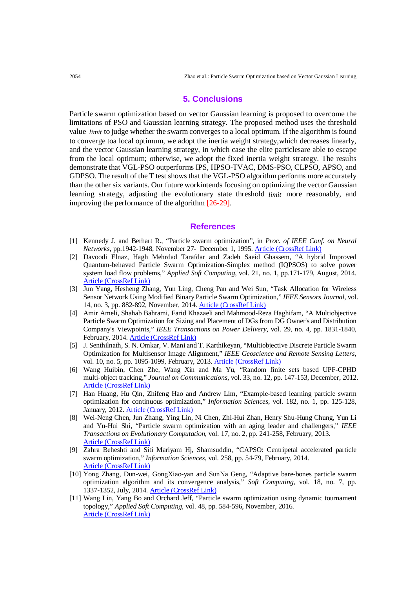## **5. Conclusions**

Particle swarm optimization based on vector Gaussian learning is proposed to overcome the limitations of PSO and Gaussian learning strategy. The proposed method uses the threshold value *limit* to judge whether the swarm converges to a local optimum. If the algorithm is found to converge toa local optimum, we adopt the inertia weight strategy,which decreases linearly, and the vector Gaussian learning strategy, in which case the elite particlesare able to escape from the local optimum; otherwise, we adopt the fixed inertia weight strategy. The results demonstrate that VGL-PSO outperforms IPS, HPSO-TVAC, DMS-PSO, CLPSO, APSO, and GDPSO. The result of the T test shows that the VGL-PSO algorithm performs more accurately than the other six variants. Our future workintends focusing on optimizing the vector Gaussian learning strategy, adjusting the evolutionary state threshold *limit* more reasonably, and improving the performance of the algorithm [26-29].

## **References**

- [1] Kennedy J. and Berhart R., "Particle swarm optimization", in *Proc. of IEEE Conf. on Neural Networks*, pp.1942-1948, November 27- [December](http://www.baidu.com/link?url=mnD7o6m9LlENMXL1bV71KG7gQQ6rHppW4q3pfJ-3lAM0AG4PuZYIVKJ9_Lv5C6Tjk9dxXc62HF_l-UPfCRDRRa81O6KfYc5fEhF0Tzn5jmi) 1, 1995. [Article \(CrossRef Link\)](http://dx.doi.org/doi:10.1109/icnn.1995.488968)
- [2] Davoodi Elnaz, Hagh Mehrdad Tarafdar and Zadeh Saeid Ghassem, "A hybrid Improved Quantum-behaved Particle Swarm Optimization-Simplex method (IQPSOS) to solve power system load flow problems," *Applied Soft Computing*, vol. 21, no. 1, pp.171-179, August, 2014. [Article \(CrossRef Link\)](http://dx.doi.org/doi:10.1016/j.asoc.2014.03.004)
- [3] Jun Yang, Hesheng Zhang, Yun Ling, Cheng Pan and Wei Sun, "Task Allocation for Wireless Sensor Network Using Modified Binary Particle Swarm Optimization," *IEEE Sensors Journal*, vol. 14, no. 3, pp. 882-892, November, 2014. Article [\(CrossRef Link\)](http://dx.doi.org/doi:10.1109/jsen.2013.2290433)
- [4] Amir Ameli, Shahab Bahrami, Farid Khazaeli and Mahmood-Reza Haghifam, "A Multiobjective Particle Swarm Optimization for Sizing and Placement of DGs from DG Owner's and Distribution Company's Viewpoints," *IEEE Transactions on Power Delivery*, vol. 29, no. 4, pp. 1831-1840, February, 2014. [Article \(CrossRef Link\)](http://dx.doi.org/doi:10.1109/tpwrd.2014.2300845)
- [5] J. Senthilnath, S. N. Omkar, V. Mani and T. Karthikeyan, "Multiobjective Discrete Particle Swarm Optimization for Multisensor Image Alignment," *IEEE Geoscience and Remote Sensing Letters*, vol. 10, no. 5, pp. 1095-1099, February, 2013. [Article \(CrossRef Link\)](http://dx.doi.org/doi:10.1109/lgrs.2012.2230432)
- [6] Wang Huibin, Chen Zhe, Wang Xin and Ma Yu, "Random finite sets based UPF-CPHD multi-object tracking," *Journal on Communications*, vol. 33, no. 12, pp. 147-153, December, 2012. [Article \(CrossRef Link\)](http://dx.doi.org/doi:10.3969/j.issn.1000-436x.2012.12.019)
- [7] Han Huang, Hu Qin, Zhifeng Hao and Andrew Lim, "Example-based learning particle swarm optimization for continuous optimization," *Information Sciences*, vol. 182, no. 1, pp. 125-128, January, 2012. [Article \(CrossRef Link\)](http://dx.doi.org/doi:10.1016/j.ins.2010.10.018)
- [8] Wei-Neng Chen, Jun Zhang, Ying Lin, Ni Chen, Zhi-Hui Zhan, Henry Shu-Hung Chung, Yun Li and Yu-Hui Shi, "Particle swarm optimization with an aging leader and challengers," *IEEE Transactions on Evolutionary Computation*, vol. 17, no. 2, pp. 241-258, February, 2013. [Article \(CrossRef Link\)](http://dx.doi.org/doi:10.1109/tevc.2011.2173577)
- [9] Zahra Beheshti and Siti Mariyam Hj, Shamsuddin, "CAPSO: Centripetal accelerated particle swarm optimization," *Information Sciences*, vol. 258, pp. 54-79, February, 2014. [Article \(CrossRef Link\)](http://dx.doi.org/doi:10.1016/j.ins.2013.08.015)
- [10] Yong Zhang, Dun-wei, GongXiao-yan and SunNa Geng, "Adaptive bare-bones particle swarm optimization algorithm and its convergence analysis," *Soft Computing*, vol. 18, no. 7, pp. 1337-1352, July, 2014. [Article \(CrossRef Link\)](http://dx.doi.org/doi:10.1007/s00500-013-1147-y)
- [11] Wang Lin, Yang Bo and Orchard Jeff, "Particle swarm optimization using dynamic tournament topology," *Applied Soft Computing*, vol. 48, pp. 584-596, November, 2016. [Article \(CrossRef Link\)](http://dx.doi.org/doi:10.1016/j.asoc.2016.07.041)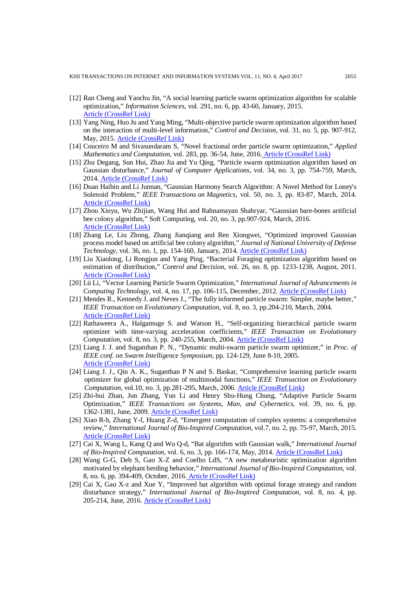- [12] Ran Cheng and Yaochu Jin, "A social learning particle swarm optimization algorithm for scalable optimization," *Information Sciences*, vol. 291, no. 6, pp. 43-60, January, 2015. [Article \(CrossRef Link\)](http://dx.doi.org/doi:10.1016/j.ins.2014.08.039)
- [13] Yang Ning, Huo Ju and Yang Ming, "Multi-objective particle swarm optimization algorithm based on the interaction of multi-level information," *Control and Decision*, vol. 31, no. 5, pp. 907-912, May, 2015. [Article \(CrossRef Link\)](http://dx.doi.org/doi:10.13195/j.kzyjc.2015.0109)
- [14] Couceiro M and Sivasundaram S, "Novel fractional order particle swarm optimization," *Applied Mathematics and Computation*, vol. 283, pp. 36-54, June, 2016. [Article \(CrossRef Link\)](http://dx.doi.org/doi:10.1016/j.amc.2016.02.007)
- [15] Zhu Degang, Sun Hui, Zhao Jia and Yu Qing, "Particle swarm optimization algorithm based on Gaussian disturbance," *Journal of Computer Applications*, vol. 34, no. 3, pp. 754-759, March, 2014. [Article \(CrossRef Link\)](http://dx.doi.org/doi:10.11772/j.issn.1001-9081.2014.03.0754)
- [16] Duan Haibin and Li Junnan, "Gaussian Harmony Search Algorithm: A Novel Method for Loney's Solenoid Problem," *IEEE Transactions on Magnetics*, vol. 50, no. 3, pp. 83-87, March, 2014. [Article \(CrossRef Link\)](http://dx.doi.org/doi:10.1109/tmag.2013.2284764)
- [17] Zhou Xinyu, Wu Zhijian, Wang Hui and Rahnamayan Shahryar, "Gaussian bare-bones artificial bee colony algorithm," Soft Computing, vol. 20, no. 3, pp.907-924, March, 2016. [Article \(CrossRef Link\)](http://dx.doi.org/doi:10.1007/s00500-014-1549-5)
- [18] Zhang Le, Liu Zhong, Zhang Jianqiang and Ren Xiongwei, "Optimized improved Gaussian process model based on artificial bee colony algorithm," *Journal of National University of Defense Technology*, vol. 36, no. 1, pp. 154-160, January, 2014. [Article \(CrossRef Link\)](http://dx.doi.org/doi:10.1007/s11771-013-1832-0)
- [19] Liu Xiaolong, Li Rongjun and Yang Ping, "Bacterial Foraging optimization algorithm based on estimation of distribution," *Control and Decision*, vol. 26, no. 8, pp. 1233-1238, August, 2011. [Article \(CrossRef Link\)](http://dx.doi.org/doi:10.1109/icicisys.2010.5658828)
- [20] Lü Li, "Vector Learning Particle Swarm Optimization," *International Journal of Advancements in Computing Technology*, vol. 4, no. 17, pp. 106-115, December, 2012. [Article \(CrossRef Link\)](http://dx.doi.org/doi:10.4156/ijact.vol4.issue17.13)
- [21] Mendes R., Kennedy J. and Neves J., "The fully informed particle swarm: Simpler, maybe better," *IEEE Transaction on Evolutionary Computation*, vol. 8, no. 3, pp.204-210, March, 2004[.](http://dx.doi.org/doi:10.1109/tevc.2004.826074) [Article \(CrossRef Link\)](http://dx.doi.org/doi:10.1109/tevc.2004.826074)
- [22] Rathaweera A., Halgamuge S. and Watson H., "Self-organizing hierarchical particle swarm optimizer with time-varying acceleration coefficients," *IEEE Transaction on Evolutionary Computation*, vol. 8, no. 3, pp. 240-255, March, 2004. [Article \(CrossRef](http://dx.doi.org/doi:10.1109/tevc.2004.826071) Link)
- [23] Liang J. J. and Suganthan P. N., "Dynamic multi-swarm particle swarm optimizer," in *Proc. of IEEE conf. on Swarm Intelligence Symposium,* pp. 124-129, June 8-10, 2005. [Article \(CrossRef Link\)](http://dx.doi.org/doi:10.1109/sis.2005.1501611)
- [24] Liang J. J., Qin A. K., Suganthan P N and S. Baskar, "Comprehensive learning particle swarm optimizer for global optimization of multimodal functions," *IEEE Transaction on Evolutionary Computation*, vol.10, no. 3, pp.281-295, March, 2006. [Article \(CrossRef Link\)](http://dx.doi.org/doi:10.1109/tevc.2005.857610)
- [25] Zhi-hui Zhan, Jun Zhang, Yun Li and Henry Shu-Hung Chung, "Adaptive Particle Swarm Optimization," *IEEE Transactions on Systems, Man, and Cybernetics*, vol. 39, no. 6, pp. 1362-1381, June, 2009. [Article \(CrossRef Link\)](http://dx.doi.org/doi:10.1109/tsmcb.2009.2015956)
- [26] Xiao R-b, Zhang Y-f, Huang Z-d, "Emergent computation of complex systems: a comprehensive review," *International Journal of Bio-Inspired Computation*, vol.7, no. 2, pp. 75-97, March, 2015. [Article \(CrossRef Link\)](http://dx.doi.org/doi:10.1504/ijbic.2015.069292)
- [27] Cai X, Wang L, Kang Q and Wu Q-d, "Bat algorithm with Gaussian walk," *International Journal of Bio-Inspired Computation*, vol. 6, no. 3, pp. 166-174, May, 2014. [Article \(CrossRef Link\)](http://dx.doi.org/doi:10.1504/ijbic.2014.062637)
- [28] Wang G-G, Deb S, Gao X-Z and Coelho LdS, "A new metaheuristic optimization algorithm motivated by elephant herding behavior," *International Journal of Bio-Inspired Computation*, vol. 8, no. 6, pp. 394-409, October, 2016. [Article \(CrossRef Link\)](http://dx.doi.org/doi:10.1504/ijbic.2016.10002274)
- [29] Cai X, Gao X-z and Xue Y, "Improved bat algorithm with optimal forage strategy and random disturbance strategy," *International Journal of Bio-Inspired Computation*, vol. 8, no. 4, pp. 205-214, June, 2016. [Article \(CrossRef Link\)](http://dx.doi.org/doi:10.1504/ijbic.2016.078666)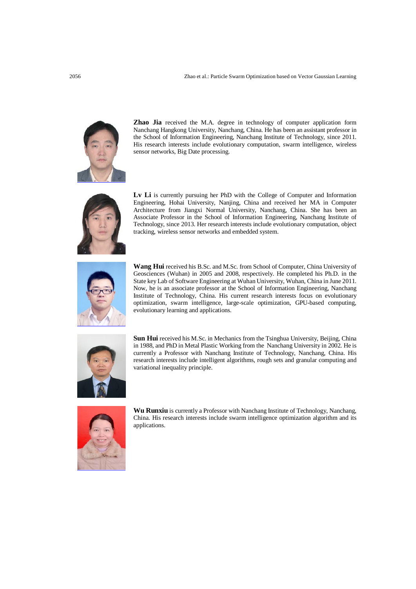

**Zhao Jia** received the M.A. degree in technology of computer application form Nanchang Hangkong University, Nanchang, China. He has been an assistant professor in the School of Information Engineering, Nanchang Institute of Technology, since 2011. His research interests include evolutionary computation, swarm intelligence, wireless sensor networks, Big Date processing.



**Lv Li** is currently pursuing her PhD with the College of Computer and Information Engineering, Hohai University, Nanjing, China and received her MA in Computer Architecture from Jiangxi Normal University, Nanchang, China. She has been an Associate Professor in the School of Information Engineering, Nanchang Institute of Technology, since 2013. Her research interests include evolutionary computation, object tracking, wireless sensor networks and embedded system.



**Wang Hui** received his B.Sc. and M.Sc. from School of Computer, China University of Geosciences (Wuhan) in 2005 and 2008, respectively. He completed his Ph.D. in the State key Lab of Software Engineering at Wuhan University, Wuhan, China in June 2011. Now, he is an associate professor at the School of Information Engineering, Nanchang Institute of Technology, China. His current research interests focus on evolutionary optimization, swarm intelligence, large-scale optimization, GPU-based computing, evolutionary learning and applications.



**Sun Hui** received his M.Sc. in Mechanics from the Tsinghua University, Beijing, China in 1988, and PhD in Metal Plastic Working from the Nanchang University in 2002. He is currently a Professor with Nanchang Institute of Technology, Nanchang, China. His research interests include intelligent algorithms, rough sets and granular computing and variational inequality principle.



**Wu Runxiu** is currently a Professor with Nanchang Institute of Technology, Nanchang, China. His research interests include swarm intelligence optimization algorithm and its applications.